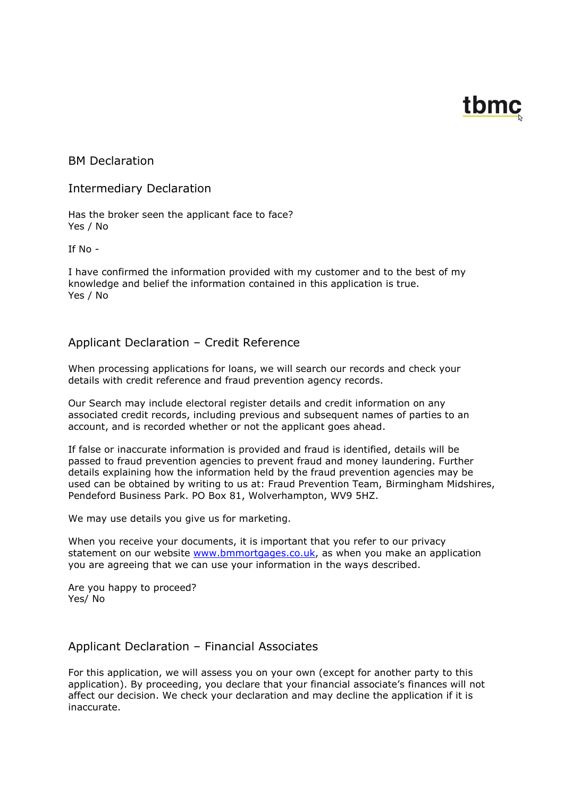# tbmc

# BM Declaration

# Intermediary Declaration

Has the broker seen the applicant face to face? Yes / No

If No -

I have confirmed the information provided with my customer and to the best of my knowledge and belief the information contained in this application is true. Yes / No

# Applicant Declaration – Credit Reference

When processing applications for loans, we will search our records and check your details with credit reference and fraud prevention agency records.

Our Search may include electoral register details and credit information on any associated credit records, including previous and subsequent names of parties to an account, and is recorded whether or not the applicant goes ahead.

If false or inaccurate information is provided and fraud is identified, details will be passed to fraud prevention agencies to prevent fraud and money laundering. Further details explaining how the information held by the fraud prevention agencies may be used can be obtained by writing to us at: Fraud Prevention Team, Birmingham Midshires, Pendeford Business Park. PO Box 81, Wolverhampton, WV9 5HZ.

We may use details you give us for marketing.

When you receive your documents, it is important that you refer to our privacy statement on our website [www.bmmortgages.co.uk,](http://www.bmmortgages.co.uk/) as when you make an application you are agreeing that we can use your information in the ways described.

Are you happy to proceed? Yes/ No

# Applicant Declaration – Financial Associates

For this application, we will assess you on your own (except for another party to this application). By proceeding, you declare that your financial associate's finances will not affect our decision. We check your declaration and may decline the application if it is inaccurate.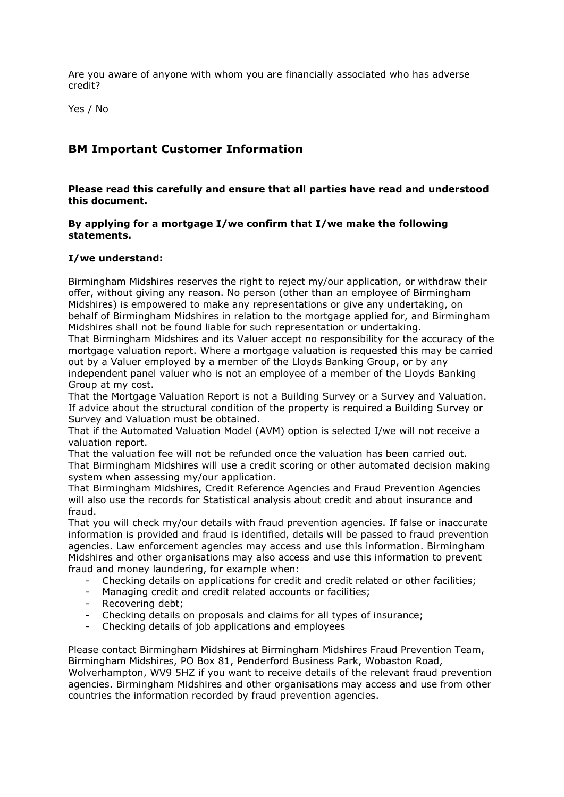Are you aware of anyone with whom you are financially associated who has adverse credit?

Yes / No

# **BM Important Customer Information**

**Please read this carefully and ensure that all parties have read and understood this document.**

#### **By applying for a mortgage I/we confirm that I/we make the following statements.**

#### **I/we understand:**

Birmingham Midshires reserves the right to reject my/our application, or withdraw their offer, without giving any reason. No person (other than an employee of Birmingham Midshires) is empowered to make any representations or give any undertaking, on behalf of Birmingham Midshires in relation to the mortgage applied for, and Birmingham Midshires shall not be found liable for such representation or undertaking.

That Birmingham Midshires and its Valuer accept no responsibility for the accuracy of the mortgage valuation report. Where a mortgage valuation is requested this may be carried out by a Valuer employed by a member of the Lloyds Banking Group, or by any independent panel valuer who is not an employee of a member of the Lloyds Banking Group at my cost.

That the Mortgage Valuation Report is not a Building Survey or a Survey and Valuation. If advice about the structural condition of the property is required a Building Survey or Survey and Valuation must be obtained.

That if the Automated Valuation Model (AVM) option is selected I/we will not receive a valuation report.

That the valuation fee will not be refunded once the valuation has been carried out. That Birmingham Midshires will use a credit scoring or other automated decision making system when assessing my/our application.

That Birmingham Midshires, Credit Reference Agencies and Fraud Prevention Agencies will also use the records for Statistical analysis about credit and about insurance and fraud.

That you will check my/our details with fraud prevention agencies. If false or inaccurate information is provided and fraud is identified, details will be passed to fraud prevention agencies. Law enforcement agencies may access and use this information. Birmingham Midshires and other organisations may also access and use this information to prevent fraud and money laundering, for example when:

- Checking details on applications for credit and credit related or other facilities;
- Managing credit and credit related accounts or facilities;
- Recovering debt;
- Checking details on proposals and claims for all types of insurance;
- Checking details of job applications and employees

Please contact Birmingham Midshires at Birmingham Midshires Fraud Prevention Team, Birmingham Midshires, PO Box 81, Penderford Business Park, Wobaston Road, Wolverhampton, WV9 5HZ if you want to receive details of the relevant fraud prevention agencies. Birmingham Midshires and other organisations may access and use from other countries the information recorded by fraud prevention agencies.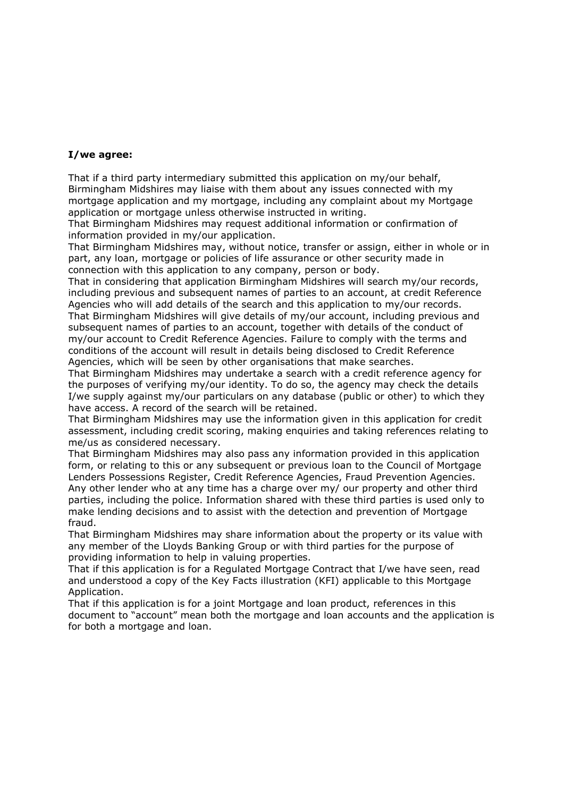#### **I/we agree:**

That if a third party intermediary submitted this application on my/our behalf, Birmingham Midshires may liaise with them about any issues connected with my mortgage application and my mortgage, including any complaint about my Mortgage application or mortgage unless otherwise instructed in writing.

That Birmingham Midshires may request additional information or confirmation of information provided in my/our application.

That Birmingham Midshires may, without notice, transfer or assign, either in whole or in part, any loan, mortgage or policies of life assurance or other security made in connection with this application to any company, person or body.

That in considering that application Birmingham Midshires will search my/our records, including previous and subsequent names of parties to an account, at credit Reference Agencies who will add details of the search and this application to my/our records. That Birmingham Midshires will give details of my/our account, including previous and subsequent names of parties to an account, together with details of the conduct of my/our account to Credit Reference Agencies. Failure to comply with the terms and conditions of the account will result in details being disclosed to Credit Reference Agencies, which will be seen by other organisations that make searches.

That Birmingham Midshires may undertake a search with a credit reference agency for the purposes of verifying my/our identity. To do so, the agency may check the details I/we supply against my/our particulars on any database (public or other) to which they have access. A record of the search will be retained.

That Birmingham Midshires may use the information given in this application for credit assessment, including credit scoring, making enquiries and taking references relating to me/us as considered necessary.

That Birmingham Midshires may also pass any information provided in this application form, or relating to this or any subsequent or previous loan to the Council of Mortgage Lenders Possessions Register, Credit Reference Agencies, Fraud Prevention Agencies. Any other lender who at any time has a charge over my/ our property and other third parties, including the police. Information shared with these third parties is used only to make lending decisions and to assist with the detection and prevention of Mortgage fraud.

That Birmingham Midshires may share information about the property or its value with any member of the Lloyds Banking Group or with third parties for the purpose of providing information to help in valuing properties.

That if this application is for a Regulated Mortgage Contract that I/we have seen, read and understood a copy of the Key Facts illustration (KFI) applicable to this Mortgage Application.

That if this application is for a joint Mortgage and loan product, references in this document to "account" mean both the mortgage and loan accounts and the application is for both a mortgage and loan.